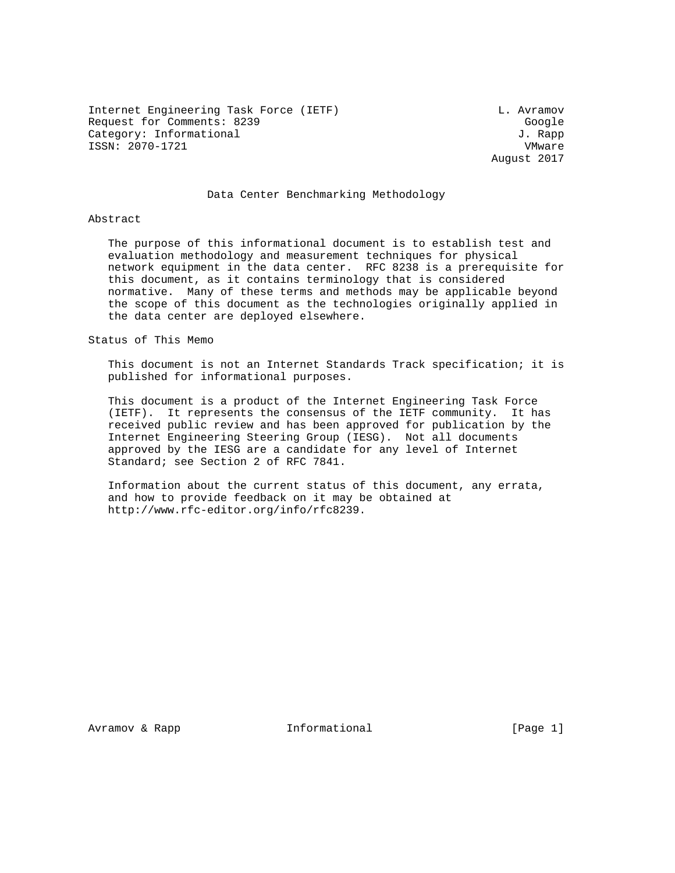Internet Engineering Task Force (IETF) CHEREN CONSTRUCTED L. Avramov Request for Comments: 8239 Google Category: Informational  $J.$  Rapp ISSN: 2070-1721 VMware

August 2017

## Data Center Benchmarking Methodology

#### Abstract

 The purpose of this informational document is to establish test and evaluation methodology and measurement techniques for physical network equipment in the data center. RFC 8238 is a prerequisite for this document, as it contains terminology that is considered normative. Many of these terms and methods may be applicable beyond the scope of this document as the technologies originally applied in the data center are deployed elsewhere.

## Status of This Memo

 This document is not an Internet Standards Track specification; it is published for informational purposes.

 This document is a product of the Internet Engineering Task Force (IETF). It represents the consensus of the IETF community. It has received public review and has been approved for publication by the Internet Engineering Steering Group (IESG). Not all documents approved by the IESG are a candidate for any level of Internet Standard; see Section 2 of RFC 7841.

 Information about the current status of this document, any errata, and how to provide feedback on it may be obtained at http://www.rfc-editor.org/info/rfc8239.

Avramov & Rapp **Informational** [Page 1]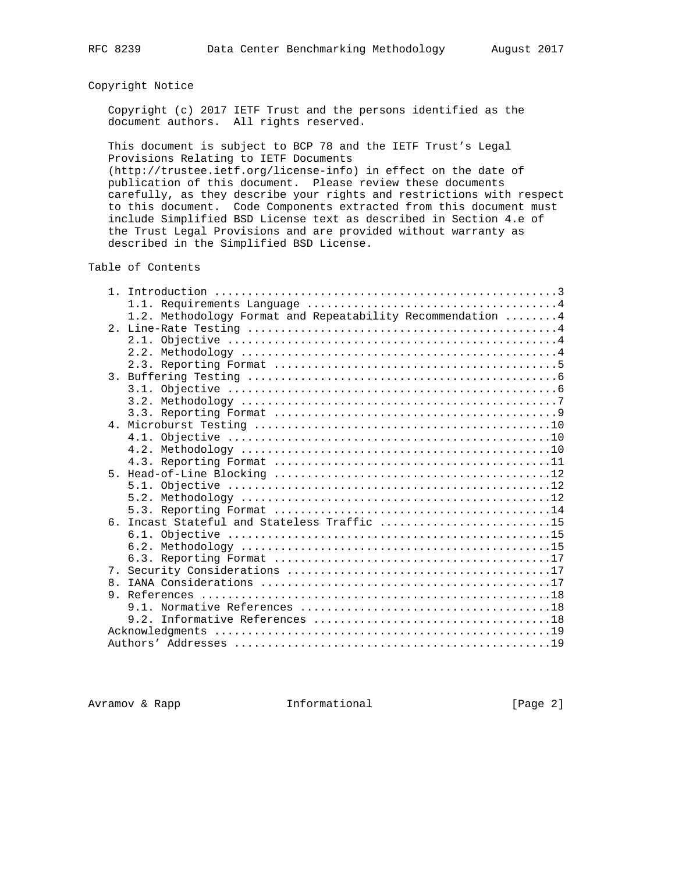# Copyright Notice

 Copyright (c) 2017 IETF Trust and the persons identified as the document authors. All rights reserved.

 This document is subject to BCP 78 and the IETF Trust's Legal Provisions Relating to IETF Documents

 (http://trustee.ietf.org/license-info) in effect on the date of publication of this document. Please review these documents carefully, as they describe your rights and restrictions with respect to this document. Code Components extracted from this document must include Simplified BSD License text as described in Section 4.e of the Trust Legal Provisions and are provided without warranty as described in the Simplified BSD License.

Table of Contents

|                | 1.2. Methodology Format and Repeatability Recommendation  4                                           |
|----------------|-------------------------------------------------------------------------------------------------------|
|                |                                                                                                       |
|                |                                                                                                       |
|                |                                                                                                       |
|                |                                                                                                       |
| $\mathcal{E}$  |                                                                                                       |
|                |                                                                                                       |
|                |                                                                                                       |
|                |                                                                                                       |
|                |                                                                                                       |
|                |                                                                                                       |
|                |                                                                                                       |
|                |                                                                                                       |
| 5.             |                                                                                                       |
|                |                                                                                                       |
|                |                                                                                                       |
|                |                                                                                                       |
|                | 6. Incast Stateful and Stateless Traffic 15                                                           |
|                |                                                                                                       |
|                | $6.2.$ Methodology $\dots\dots\dots\dots\dots\dots\dots\dots\dots\dots\dots\dots\dots\dots\dots\dots$ |
|                |                                                                                                       |
| 7 <sub>1</sub> |                                                                                                       |
| 8 <sub>1</sub> |                                                                                                       |
| 9.             |                                                                                                       |
|                |                                                                                                       |
|                |                                                                                                       |
|                |                                                                                                       |
|                |                                                                                                       |

Avramov & Rapp **Informational** [Page 2]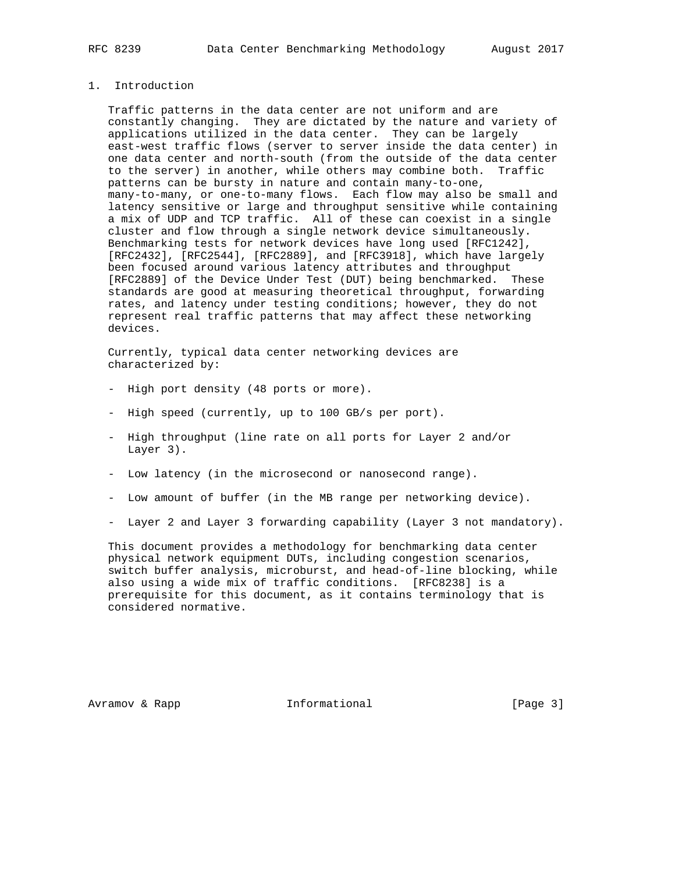## 1. Introduction

 Traffic patterns in the data center are not uniform and are constantly changing. They are dictated by the nature and variety of applications utilized in the data center. They can be largely east-west traffic flows (server to server inside the data center) in one data center and north-south (from the outside of the data center to the server) in another, while others may combine both. Traffic patterns can be bursty in nature and contain many-to-one, many-to-many, or one-to-many flows. Each flow may also be small and latency sensitive or large and throughput sensitive while containing a mix of UDP and TCP traffic. All of these can coexist in a single cluster and flow through a single network device simultaneously. Benchmarking tests for network devices have long used [RFC1242], [RFC2432], [RFC2544], [RFC2889], and [RFC3918], which have largely been focused around various latency attributes and throughput [RFC2889] of the Device Under Test (DUT) being benchmarked. These standards are good at measuring theoretical throughput, forwarding rates, and latency under testing conditions; however, they do not represent real traffic patterns that may affect these networking devices.

 Currently, typical data center networking devices are characterized by:

- High port density (48 ports or more).
- High speed (currently, up to 100 GB/s per port).
- High throughput (line rate on all ports for Layer 2 and/or Layer 3).
- Low latency (in the microsecond or nanosecond range).
- Low amount of buffer (in the MB range per networking device).
- Layer 2 and Layer 3 forwarding capability (Layer 3 not mandatory).

 This document provides a methodology for benchmarking data center physical network equipment DUTs, including congestion scenarios, switch buffer analysis, microburst, and head-of-line blocking, while also using a wide mix of traffic conditions. [RFC8238] is a prerequisite for this document, as it contains terminology that is considered normative.

Avramov & Rapp **Informational** [Page 3]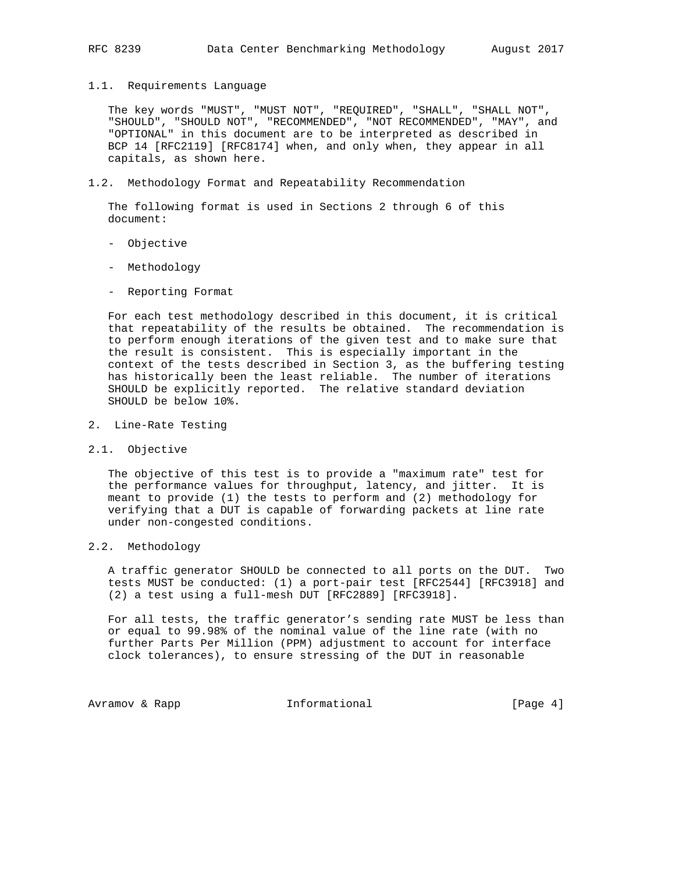#### 1.1. Requirements Language

 The key words "MUST", "MUST NOT", "REQUIRED", "SHALL", "SHALL NOT", "SHOULD", "SHOULD NOT", "RECOMMENDED", "NOT RECOMMENDED", "MAY", and "OPTIONAL" in this document are to be interpreted as described in BCP 14 [RFC2119] [RFC8174] when, and only when, they appear in all capitals, as shown here.

#### 1.2. Methodology Format and Repeatability Recommendation

 The following format is used in Sections 2 through 6 of this document:

- Objective
- Methodology
- Reporting Format

 For each test methodology described in this document, it is critical that repeatability of the results be obtained. The recommendation is to perform enough iterations of the given test and to make sure that the result is consistent. This is especially important in the context of the tests described in Section 3, as the buffering testing has historically been the least reliable. The number of iterations SHOULD be explicitly reported. The relative standard deviation SHOULD be below 10%.

- 2. Line-Rate Testing
- 2.1. Objective

 The objective of this test is to provide a "maximum rate" test for the performance values for throughput, latency, and jitter. It is meant to provide (1) the tests to perform and (2) methodology for verifying that a DUT is capable of forwarding packets at line rate under non-congested conditions.

## 2.2. Methodology

 A traffic generator SHOULD be connected to all ports on the DUT. Two tests MUST be conducted: (1) a port-pair test [RFC2544] [RFC3918] and (2) a test using a full-mesh DUT [RFC2889] [RFC3918].

 For all tests, the traffic generator's sending rate MUST be less than or equal to 99.98% of the nominal value of the line rate (with no further Parts Per Million (PPM) adjustment to account for interface clock tolerances), to ensure stressing of the DUT in reasonable

Avramov & Rapp **Informational** [Page 4]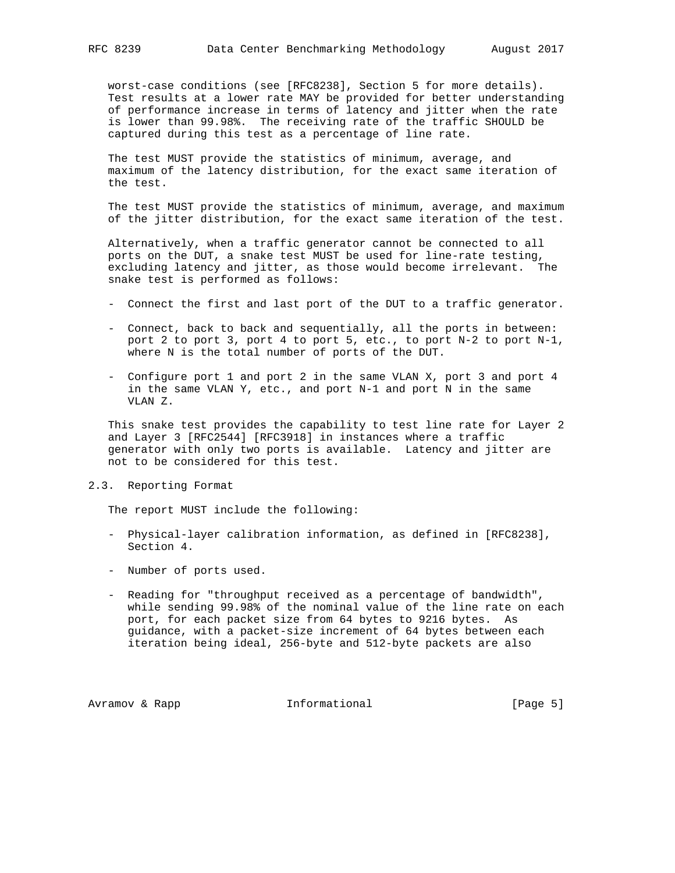worst-case conditions (see [RFC8238], Section 5 for more details). Test results at a lower rate MAY be provided for better understanding of performance increase in terms of latency and jitter when the rate is lower than 99.98%. The receiving rate of the traffic SHOULD be captured during this test as a percentage of line rate.

 The test MUST provide the statistics of minimum, average, and maximum of the latency distribution, for the exact same iteration of the test.

 The test MUST provide the statistics of minimum, average, and maximum of the jitter distribution, for the exact same iteration of the test.

 Alternatively, when a traffic generator cannot be connected to all ports on the DUT, a snake test MUST be used for line-rate testing, excluding latency and jitter, as those would become irrelevant. The snake test is performed as follows:

- Connect the first and last port of the DUT to a traffic generator.
- Connect, back to back and sequentially, all the ports in between: port 2 to port 3, port 4 to port 5, etc., to port N-2 to port N-1, where N is the total number of ports of the DUT.
- Configure port 1 and port 2 in the same VLAN X, port 3 and port 4 in the same VLAN Y, etc., and port N-1 and port N in the same VLAN Z.

 This snake test provides the capability to test line rate for Layer 2 and Layer 3 [RFC2544] [RFC3918] in instances where a traffic generator with only two ports is available. Latency and jitter are not to be considered for this test.

## 2.3. Reporting Format

The report MUST include the following:

- Physical-layer calibration information, as defined in [RFC8238], Section 4.
- Number of ports used.
- Reading for "throughput received as a percentage of bandwidth", while sending 99.98% of the nominal value of the line rate on each port, for each packet size from 64 bytes to 9216 bytes. As guidance, with a packet-size increment of 64 bytes between each iteration being ideal, 256-byte and 512-byte packets are also

Avramov & Rapp  $I_n$  Informational [Page 5]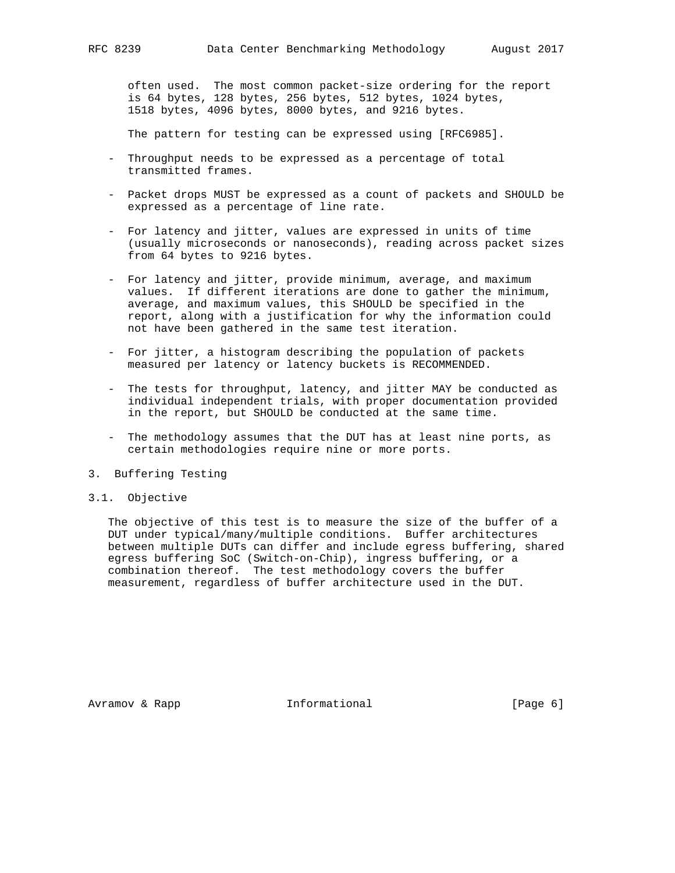often used. The most common packet-size ordering for the report is 64 bytes, 128 bytes, 256 bytes, 512 bytes, 1024 bytes, 1518 bytes, 4096 bytes, 8000 bytes, and 9216 bytes.

The pattern for testing can be expressed using [RFC6985].

- Throughput needs to be expressed as a percentage of total transmitted frames.
- Packet drops MUST be expressed as a count of packets and SHOULD be expressed as a percentage of line rate.
- For latency and jitter, values are expressed in units of time (usually microseconds or nanoseconds), reading across packet sizes from 64 bytes to 9216 bytes.
- For latency and jitter, provide minimum, average, and maximum values. If different iterations are done to gather the minimum, average, and maximum values, this SHOULD be specified in the report, along with a justification for why the information could not have been gathered in the same test iteration.
- For jitter, a histogram describing the population of packets measured per latency or latency buckets is RECOMMENDED.
- The tests for throughput, latency, and jitter MAY be conducted as individual independent trials, with proper documentation provided in the report, but SHOULD be conducted at the same time.
- The methodology assumes that the DUT has at least nine ports, as certain methodologies require nine or more ports.
- 3. Buffering Testing
- 3.1. Objective

 The objective of this test is to measure the size of the buffer of a DUT under typical/many/multiple conditions. Buffer architectures between multiple DUTs can differ and include egress buffering, shared egress buffering SoC (Switch-on-Chip), ingress buffering, or a combination thereof. The test methodology covers the buffer measurement, regardless of buffer architecture used in the DUT.

Avramov & Rapp **Informational** [Page 6]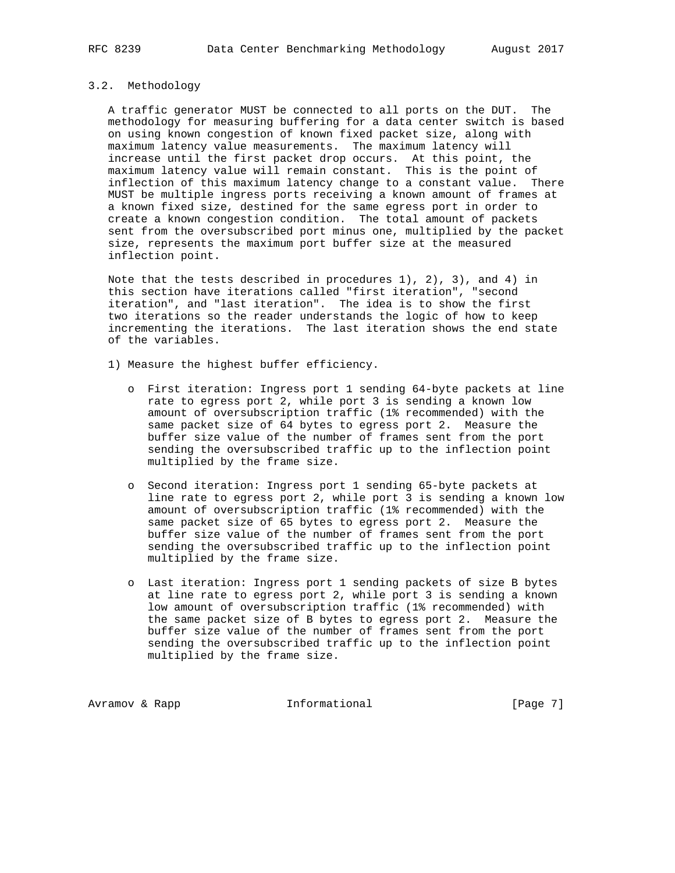## 3.2. Methodology

 A traffic generator MUST be connected to all ports on the DUT. The methodology for measuring buffering for a data center switch is based on using known congestion of known fixed packet size, along with maximum latency value measurements. The maximum latency will increase until the first packet drop occurs. At this point, the maximum latency value will remain constant. This is the point of inflection of this maximum latency change to a constant value. There MUST be multiple ingress ports receiving a known amount of frames at a known fixed size, destined for the same egress port in order to create a known congestion condition. The total amount of packets sent from the oversubscribed port minus one, multiplied by the packet size, represents the maximum port buffer size at the measured inflection point.

 Note that the tests described in procedures 1), 2), 3), and 4) in this section have iterations called "first iteration", "second iteration", and "last iteration". The idea is to show the first two iterations so the reader understands the logic of how to keep incrementing the iterations. The last iteration shows the end state of the variables.

- 1) Measure the highest buffer efficiency.
	- o First iteration: Ingress port 1 sending 64-byte packets at line rate to egress port 2, while port 3 is sending a known low amount of oversubscription traffic (1% recommended) with the same packet size of 64 bytes to egress port 2. Measure the buffer size value of the number of frames sent from the port sending the oversubscribed traffic up to the inflection point multiplied by the frame size.
	- o Second iteration: Ingress port 1 sending 65-byte packets at line rate to egress port 2, while port 3 is sending a known low amount of oversubscription traffic (1% recommended) with the same packet size of 65 bytes to egress port 2. Measure the buffer size value of the number of frames sent from the port sending the oversubscribed traffic up to the inflection point multiplied by the frame size.
	- o Last iteration: Ingress port 1 sending packets of size B bytes at line rate to egress port 2, while port 3 is sending a known low amount of oversubscription traffic (1% recommended) with the same packet size of B bytes to egress port 2. Measure the buffer size value of the number of frames sent from the port sending the oversubscribed traffic up to the inflection point multiplied by the frame size.

Avramov & Rapp **Informational** [Page 7]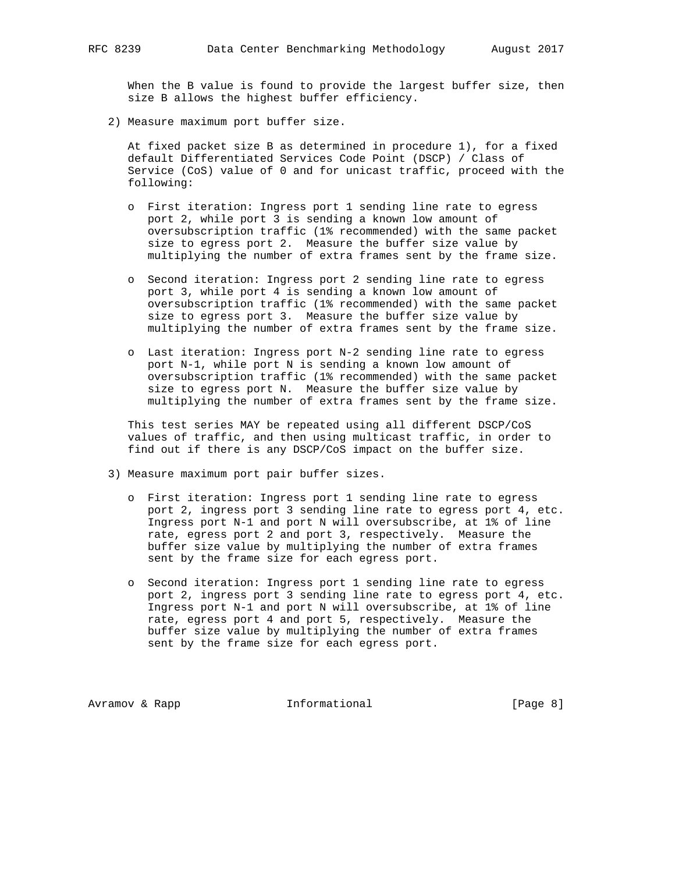When the B value is found to provide the largest buffer size, then size B allows the highest buffer efficiency.

2) Measure maximum port buffer size.

 At fixed packet size B as determined in procedure 1), for a fixed default Differentiated Services Code Point (DSCP) / Class of Service (CoS) value of 0 and for unicast traffic, proceed with the following:

- o First iteration: Ingress port 1 sending line rate to egress port 2, while port 3 is sending a known low amount of oversubscription traffic (1% recommended) with the same packet size to egress port 2. Measure the buffer size value by multiplying the number of extra frames sent by the frame size.
- o Second iteration: Ingress port 2 sending line rate to egress port 3, while port 4 is sending a known low amount of oversubscription traffic (1% recommended) with the same packet size to egress port 3. Measure the buffer size value by multiplying the number of extra frames sent by the frame size.
- o Last iteration: Ingress port N-2 sending line rate to egress port N-1, while port N is sending a known low amount of oversubscription traffic (1% recommended) with the same packet size to egress port N. Measure the buffer size value by multiplying the number of extra frames sent by the frame size.

 This test series MAY be repeated using all different DSCP/CoS values of traffic, and then using multicast traffic, in order to find out if there is any DSCP/CoS impact on the buffer size.

- 3) Measure maximum port pair buffer sizes.
	- o First iteration: Ingress port 1 sending line rate to egress port 2, ingress port 3 sending line rate to egress port 4, etc. Ingress port N-1 and port N will oversubscribe, at 1% of line rate, egress port 2 and port 3, respectively. Measure the buffer size value by multiplying the number of extra frames sent by the frame size for each egress port.
	- o Second iteration: Ingress port 1 sending line rate to egress port 2, ingress port 3 sending line rate to egress port 4, etc. Ingress port N-1 and port N will oversubscribe, at 1% of line rate, egress port 4 and port 5, respectively. Measure the buffer size value by multiplying the number of extra frames sent by the frame size for each egress port.

Avramov & Rapp **Informational** [Page 8]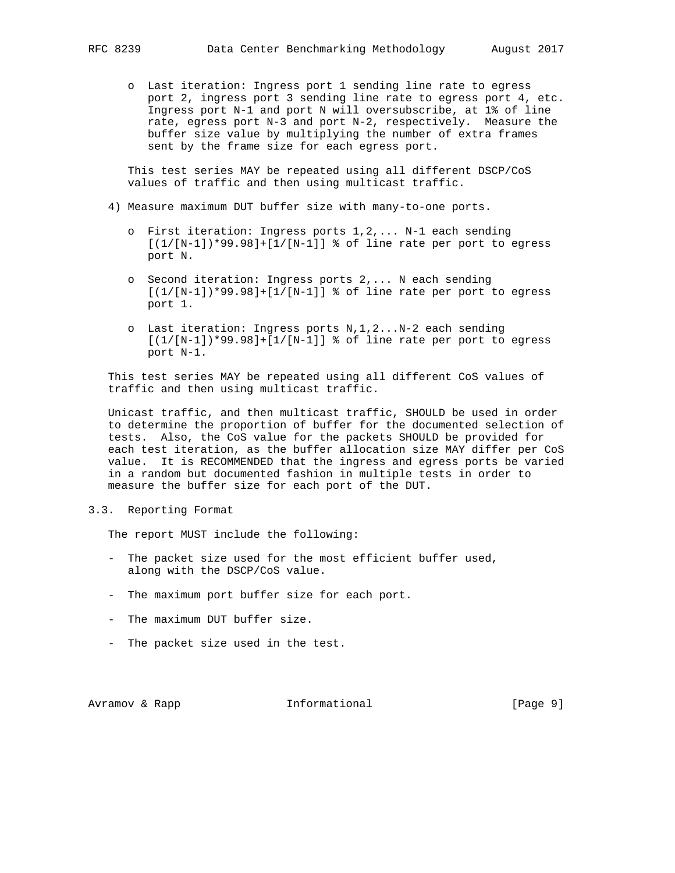o Last iteration: Ingress port 1 sending line rate to egress port 2, ingress port 3 sending line rate to egress port 4, etc. Ingress port N-1 and port N will oversubscribe, at 1% of line rate, egress port N-3 and port N-2, respectively. Measure the buffer size value by multiplying the number of extra frames sent by the frame size for each egress port.

 This test series MAY be repeated using all different DSCP/CoS values of traffic and then using multicast traffic.

- 4) Measure maximum DUT buffer size with many-to-one ports.
	- o First iteration: Ingress ports 1,2,... N-1 each sending  $[(1/[N-1])*99.98]+[1/[N-1]]$  % of line rate per port to egress port N.
	- o Second iteration: Ingress ports 2,... N each sending  $[(1/[N-1])*99.98]+[1/[N-1]]$  % of line rate per port to egress port 1.
	- o Last iteration: Ingress ports N,1,2...N-2 each sending  $[(1/[N-1])*99.98]+[1/[N-1]]$  % of line rate per port to egress port N-1.

 This test series MAY be repeated using all different CoS values of traffic and then using multicast traffic.

 Unicast traffic, and then multicast traffic, SHOULD be used in order to determine the proportion of buffer for the documented selection of tests. Also, the CoS value for the packets SHOULD be provided for each test iteration, as the buffer allocation size MAY differ per CoS value. It is RECOMMENDED that the ingress and egress ports be varied in a random but documented fashion in multiple tests in order to measure the buffer size for each port of the DUT.

3.3. Reporting Format

The report MUST include the following:

- The packet size used for the most efficient buffer used, along with the DSCP/CoS value.
- The maximum port buffer size for each port.
- The maximum DUT buffer size.
- The packet size used in the test.

Avramov & Rapp  $I_n$  Informational (Page 9)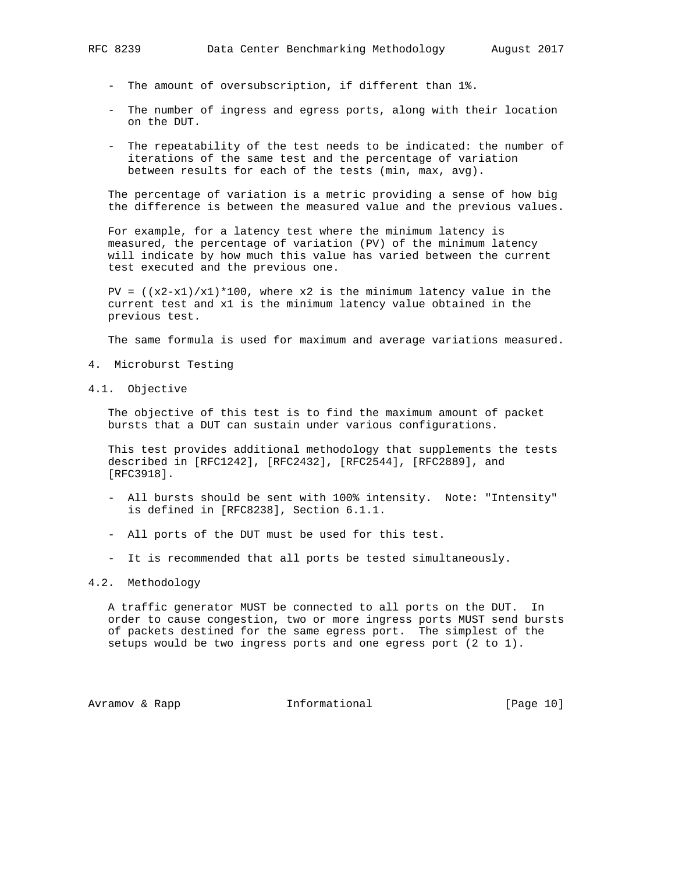- The amount of oversubscription, if different than 1%.
- The number of ingress and egress ports, along with their location on the DUT.
- The repeatability of the test needs to be indicated: the number of iterations of the same test and the percentage of variation between results for each of the tests (min, max, avg).

 The percentage of variation is a metric providing a sense of how big the difference is between the measured value and the previous values.

 For example, for a latency test where the minimum latency is measured, the percentage of variation (PV) of the minimum latency will indicate by how much this value has varied between the current test executed and the previous one.

PV =  $((x2-x1)/x1)*100$ , where x2 is the minimum latency value in the current test and x1 is the minimum latency value obtained in the previous test.

The same formula is used for maximum and average variations measured.

- 4. Microburst Testing
- 4.1. Objective

 The objective of this test is to find the maximum amount of packet bursts that a DUT can sustain under various configurations.

 This test provides additional methodology that supplements the tests described in [RFC1242], [RFC2432], [RFC2544], [RFC2889], and [RFC3918].

- All bursts should be sent with 100% intensity. Note: "Intensity" is defined in [RFC8238], Section 6.1.1.
- All ports of the DUT must be used for this test.
- It is recommended that all ports be tested simultaneously.

## 4.2. Methodology

 A traffic generator MUST be connected to all ports on the DUT. In order to cause congestion, two or more ingress ports MUST send bursts of packets destined for the same egress port. The simplest of the setups would be two ingress ports and one egress port (2 to 1).

Avramov & Rapp **Informational** [Page 10]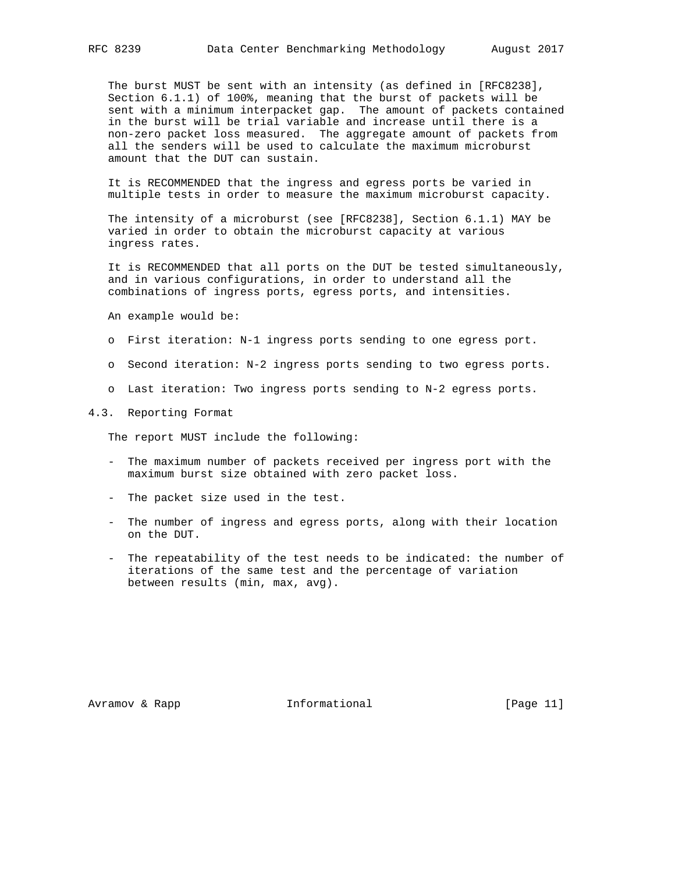The burst MUST be sent with an intensity (as defined in [RFC8238], Section 6.1.1) of 100%, meaning that the burst of packets will be sent with a minimum interpacket gap. The amount of packets contained in the burst will be trial variable and increase until there is a non-zero packet loss measured. The aggregate amount of packets from all the senders will be used to calculate the maximum microburst amount that the DUT can sustain.

 It is RECOMMENDED that the ingress and egress ports be varied in multiple tests in order to measure the maximum microburst capacity.

 The intensity of a microburst (see [RFC8238], Section 6.1.1) MAY be varied in order to obtain the microburst capacity at various ingress rates.

 It is RECOMMENDED that all ports on the DUT be tested simultaneously, and in various configurations, in order to understand all the combinations of ingress ports, egress ports, and intensities.

An example would be:

- o First iteration: N-1 ingress ports sending to one egress port.
- o Second iteration: N-2 ingress ports sending to two egress ports.
- o Last iteration: Two ingress ports sending to N-2 egress ports.

#### 4.3. Reporting Format

The report MUST include the following:

- The maximum number of packets received per ingress port with the maximum burst size obtained with zero packet loss.
- The packet size used in the test.
- The number of ingress and egress ports, along with their location on the DUT.
- The repeatability of the test needs to be indicated: the number of iterations of the same test and the percentage of variation between results (min, max, avg).

Avramov & Rapp **Informational** [Page 11]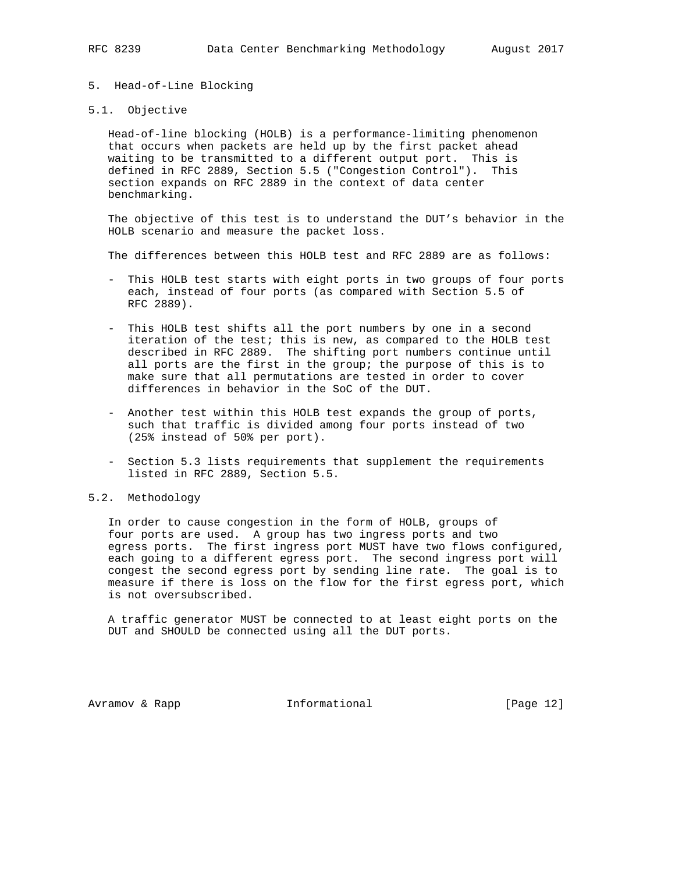- 5. Head-of-Line Blocking
- 5.1. Objective

 Head-of-line blocking (HOLB) is a performance-limiting phenomenon that occurs when packets are held up by the first packet ahead waiting to be transmitted to a different output port. This is defined in RFC 2889, Section 5.5 ("Congestion Control"). This section expands on RFC 2889 in the context of data center benchmarking.

 The objective of this test is to understand the DUT's behavior in the HOLB scenario and measure the packet loss.

The differences between this HOLB test and RFC 2889 are as follows:

- This HOLB test starts with eight ports in two groups of four ports each, instead of four ports (as compared with Section 5.5 of RFC 2889).
- This HOLB test shifts all the port numbers by one in a second iteration of the test; this is new, as compared to the HOLB test described in RFC 2889. The shifting port numbers continue until all ports are the first in the group; the purpose of this is to make sure that all permutations are tested in order to cover differences in behavior in the SoC of the DUT.
- Another test within this HOLB test expands the group of ports, such that traffic is divided among four ports instead of two (25% instead of 50% per port).
- Section 5.3 lists requirements that supplement the requirements listed in RFC 2889, Section 5.5.

### 5.2. Methodology

 In order to cause congestion in the form of HOLB, groups of four ports are used. A group has two ingress ports and two egress ports. The first ingress port MUST have two flows configured, each going to a different egress port. The second ingress port will congest the second egress port by sending line rate. The goal is to measure if there is loss on the flow for the first egress port, which is not oversubscribed.

 A traffic generator MUST be connected to at least eight ports on the DUT and SHOULD be connected using all the DUT ports.

Avramov & Rapp **Informational** [Page 12]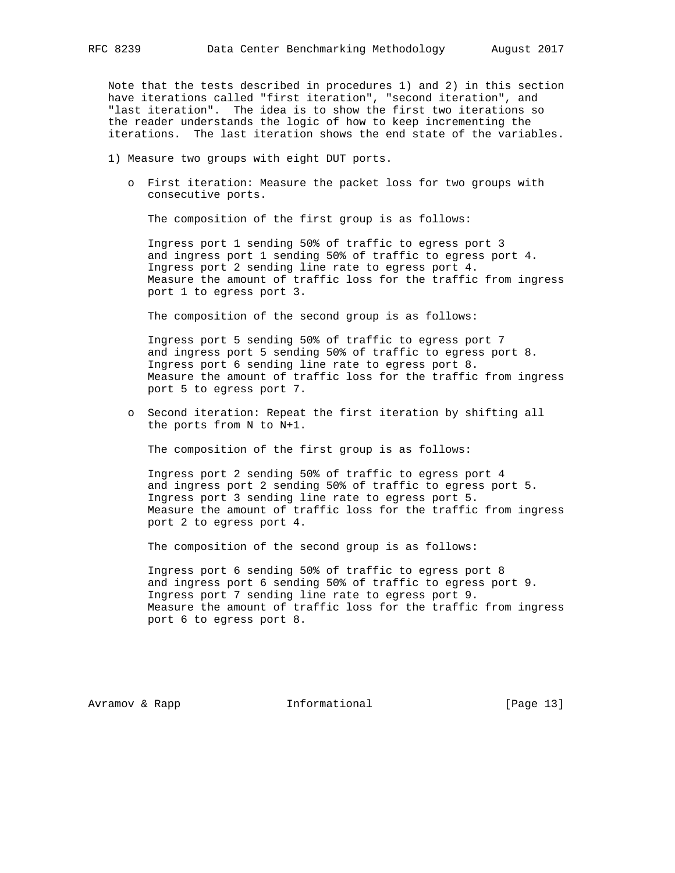Note that the tests described in procedures 1) and 2) in this section have iterations called "first iteration", "second iteration", and "last iteration". The idea is to show the first two iterations so the reader understands the logic of how to keep incrementing the iterations. The last iteration shows the end state of the variables.

- 1) Measure two groups with eight DUT ports.
	- o First iteration: Measure the packet loss for two groups with consecutive ports.

The composition of the first group is as follows:

 Ingress port 1 sending 50% of traffic to egress port 3 and ingress port 1 sending 50% of traffic to egress port 4. Ingress port 2 sending line rate to egress port 4. Measure the amount of traffic loss for the traffic from ingress port 1 to egress port 3.

The composition of the second group is as follows:

 Ingress port 5 sending 50% of traffic to egress port 7 and ingress port 5 sending 50% of traffic to egress port 8. Ingress port 6 sending line rate to egress port 8. Measure the amount of traffic loss for the traffic from ingress port 5 to egress port 7.

 o Second iteration: Repeat the first iteration by shifting all the ports from N to N+1.

The composition of the first group is as follows:

 Ingress port 2 sending 50% of traffic to egress port 4 and ingress port 2 sending 50% of traffic to egress port 5. Ingress port 3 sending line rate to egress port 5. Measure the amount of traffic loss for the traffic from ingress port 2 to egress port 4.

The composition of the second group is as follows:

 Ingress port 6 sending 50% of traffic to egress port 8 and ingress port 6 sending 50% of traffic to egress port 9. Ingress port 7 sending line rate to egress port 9. Measure the amount of traffic loss for the traffic from ingress port 6 to egress port 8.

Avramov & Rapp  $I_n$  Informational [Page 13]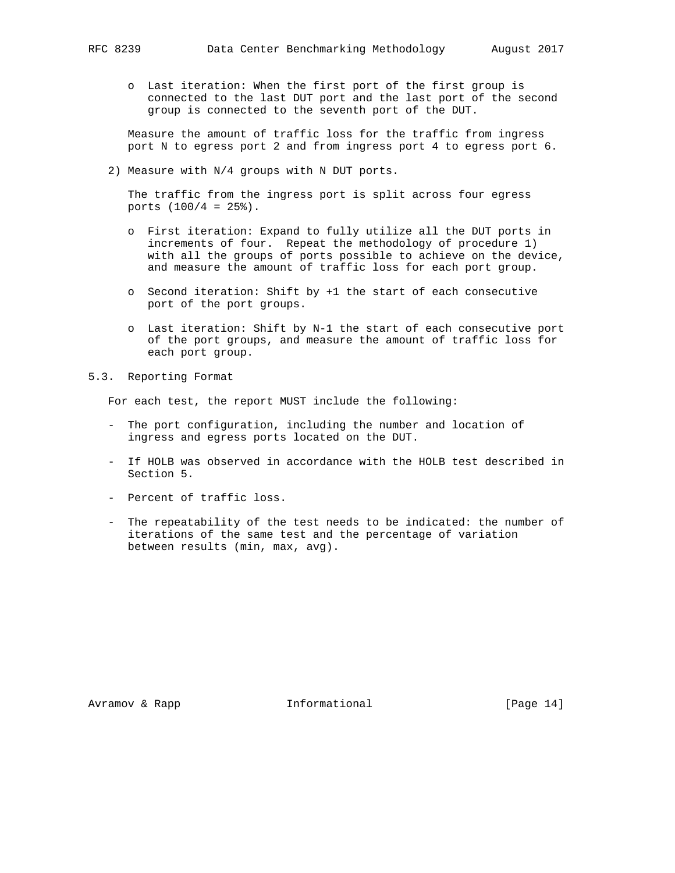o Last iteration: When the first port of the first group is connected to the last DUT port and the last port of the second group is connected to the seventh port of the DUT.

 Measure the amount of traffic loss for the traffic from ingress port N to egress port 2 and from ingress port 4 to egress port 6.

2) Measure with N/4 groups with N DUT ports.

 The traffic from the ingress port is split across four egress ports  $(100/4 = 25$ <sup>2</sup>).

- o First iteration: Expand to fully utilize all the DUT ports in increments of four. Repeat the methodology of procedure 1) with all the groups of ports possible to achieve on the device, and measure the amount of traffic loss for each port group.
- o Second iteration: Shift by +1 the start of each consecutive port of the port groups.
- o Last iteration: Shift by N-1 the start of each consecutive port of the port groups, and measure the amount of traffic loss for each port group.
- 5.3. Reporting Format

For each test, the report MUST include the following:

- The port configuration, including the number and location of ingress and egress ports located on the DUT.
- If HOLB was observed in accordance with the HOLB test described in Section 5.
- Percent of traffic loss.
- The repeatability of the test needs to be indicated: the number of iterations of the same test and the percentage of variation between results (min, max, avg).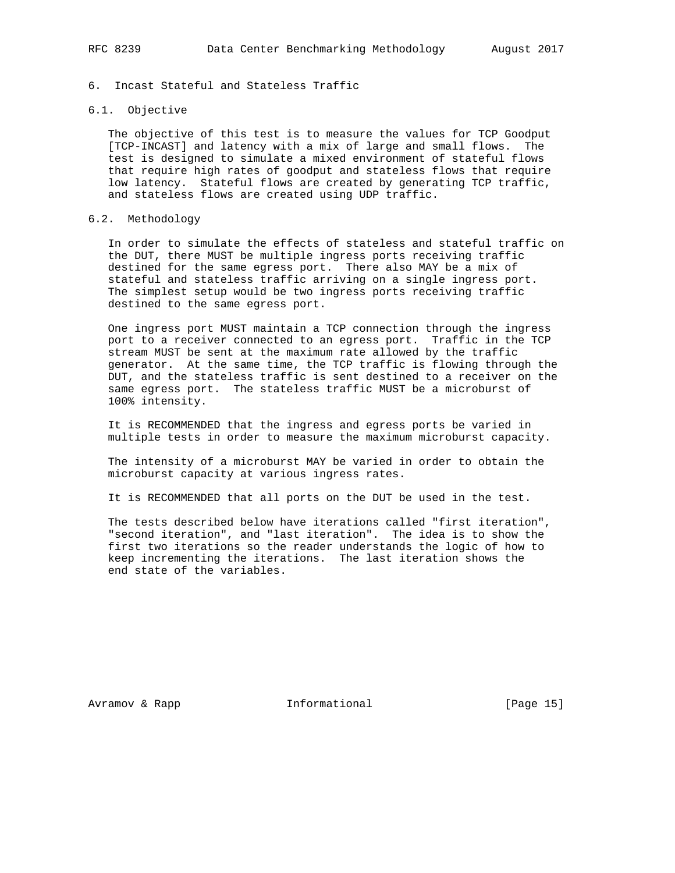## 6. Incast Stateful and Stateless Traffic

## 6.1. Objective

 The objective of this test is to measure the values for TCP Goodput [TCP-INCAST] and latency with a mix of large and small flows. The test is designed to simulate a mixed environment of stateful flows that require high rates of goodput and stateless flows that require low latency. Stateful flows are created by generating TCP traffic, and stateless flows are created using UDP traffic.

## 6.2. Methodology

 In order to simulate the effects of stateless and stateful traffic on the DUT, there MUST be multiple ingress ports receiving traffic destined for the same egress port. There also MAY be a mix of stateful and stateless traffic arriving on a single ingress port. The simplest setup would be two ingress ports receiving traffic destined to the same egress port.

 One ingress port MUST maintain a TCP connection through the ingress port to a receiver connected to an egress port. Traffic in the TCP stream MUST be sent at the maximum rate allowed by the traffic generator. At the same time, the TCP traffic is flowing through the DUT, and the stateless traffic is sent destined to a receiver on the same egress port. The stateless traffic MUST be a microburst of 100% intensity.

 It is RECOMMENDED that the ingress and egress ports be varied in multiple tests in order to measure the maximum microburst capacity.

 The intensity of a microburst MAY be varied in order to obtain the microburst capacity at various ingress rates.

It is RECOMMENDED that all ports on the DUT be used in the test.

 The tests described below have iterations called "first iteration", "second iteration", and "last iteration". The idea is to show the first two iterations so the reader understands the logic of how to keep incrementing the iterations. The last iteration shows the end state of the variables.

Avramov & Rapp **Informational** [Page 15]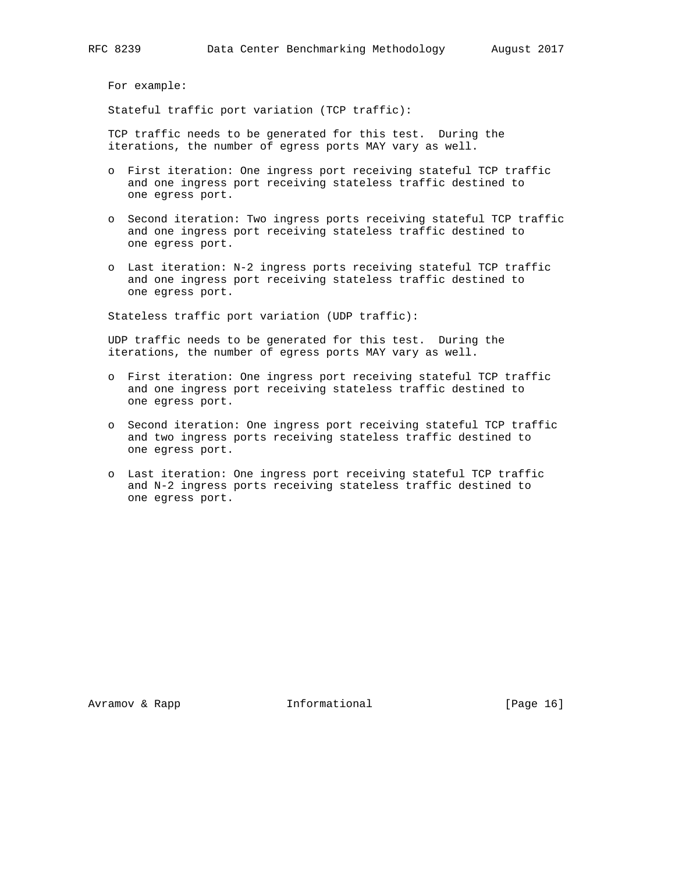For example:

Stateful traffic port variation (TCP traffic):

 TCP traffic needs to be generated for this test. During the iterations, the number of egress ports MAY vary as well.

- o First iteration: One ingress port receiving stateful TCP traffic and one ingress port receiving stateless traffic destined to one egress port.
- o Second iteration: Two ingress ports receiving stateful TCP traffic and one ingress port receiving stateless traffic destined to one egress port.
- o Last iteration: N-2 ingress ports receiving stateful TCP traffic and one ingress port receiving stateless traffic destined to one egress port.

Stateless traffic port variation (UDP traffic):

 UDP traffic needs to be generated for this test. During the iterations, the number of egress ports MAY vary as well.

- o First iteration: One ingress port receiving stateful TCP traffic and one ingress port receiving stateless traffic destined to one egress port.
- o Second iteration: One ingress port receiving stateful TCP traffic and two ingress ports receiving stateless traffic destined to one egress port.
- o Last iteration: One ingress port receiving stateful TCP traffic and N-2 ingress ports receiving stateless traffic destined to one egress port.

Avramov & Rapp **Informational** [Page 16]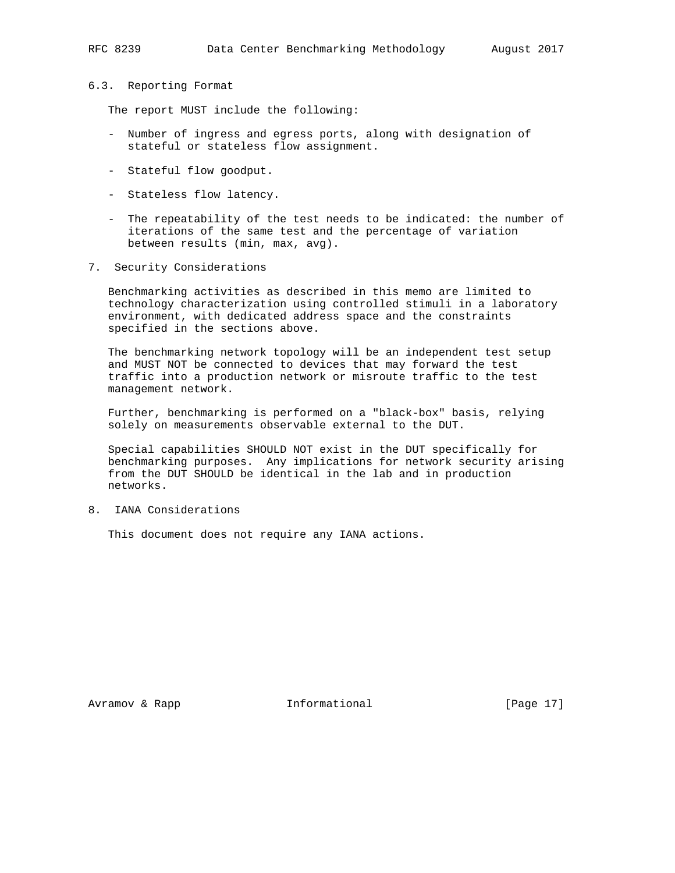#### 6.3. Reporting Format

The report MUST include the following:

- Number of ingress and egress ports, along with designation of stateful or stateless flow assignment.
- Stateful flow goodput.
- Stateless flow latency.
- The repeatability of the test needs to be indicated: the number of iterations of the same test and the percentage of variation between results (min, max, avg).
- 7. Security Considerations

 Benchmarking activities as described in this memo are limited to technology characterization using controlled stimuli in a laboratory environment, with dedicated address space and the constraints specified in the sections above.

 The benchmarking network topology will be an independent test setup and MUST NOT be connected to devices that may forward the test traffic into a production network or misroute traffic to the test management network.

 Further, benchmarking is performed on a "black-box" basis, relying solely on measurements observable external to the DUT.

 Special capabilities SHOULD NOT exist in the DUT specifically for benchmarking purposes. Any implications for network security arising from the DUT SHOULD be identical in the lab and in production networks.

8. IANA Considerations

This document does not require any IANA actions.

Avramov & Rapp **Informational** [Page 17]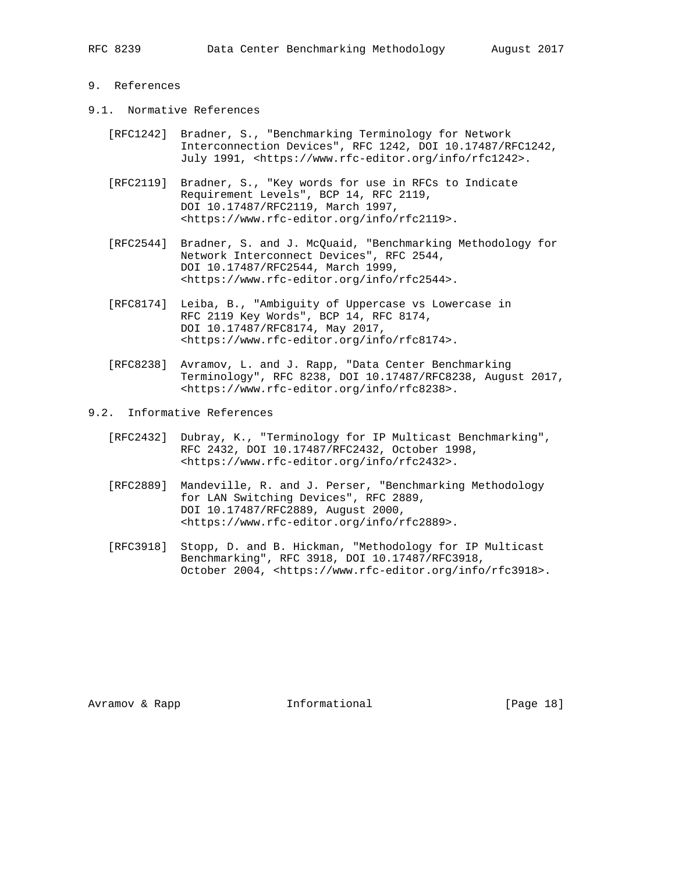## 9. References

- 9.1. Normative References
	- [RFC1242] Bradner, S., "Benchmarking Terminology for Network Interconnection Devices", RFC 1242, DOI 10.17487/RFC1242, July 1991, <https://www.rfc-editor.org/info/rfc1242>.
	- [RFC2119] Bradner, S., "Key words for use in RFCs to Indicate Requirement Levels", BCP 14, RFC 2119, DOI 10.17487/RFC2119, March 1997, <https://www.rfc-editor.org/info/rfc2119>.
	- [RFC2544] Bradner, S. and J. McQuaid, "Benchmarking Methodology for Network Interconnect Devices", RFC 2544, DOI 10.17487/RFC2544, March 1999, <https://www.rfc-editor.org/info/rfc2544>.
	- [RFC8174] Leiba, B., "Ambiguity of Uppercase vs Lowercase in RFC 2119 Key Words", BCP 14, RFC 8174, DOI 10.17487/RFC8174, May 2017, <https://www.rfc-editor.org/info/rfc8174>.
	- [RFC8238] Avramov, L. and J. Rapp, "Data Center Benchmarking Terminology", RFC 8238, DOI 10.17487/RFC8238, August 2017, <https://www.rfc-editor.org/info/rfc8238>.
- 9.2. Informative References
	- [RFC2432] Dubray, K., "Terminology for IP Multicast Benchmarking", RFC 2432, DOI 10.17487/RFC2432, October 1998, <https://www.rfc-editor.org/info/rfc2432>.
	- [RFC2889] Mandeville, R. and J. Perser, "Benchmarking Methodology for LAN Switching Devices", RFC 2889, DOI 10.17487/RFC2889, August 2000, <https://www.rfc-editor.org/info/rfc2889>.
	- [RFC3918] Stopp, D. and B. Hickman, "Methodology for IP Multicast Benchmarking", RFC 3918, DOI 10.17487/RFC3918, October 2004, <https://www.rfc-editor.org/info/rfc3918>.

Avramov & Rapp **Informational** [Page 18]